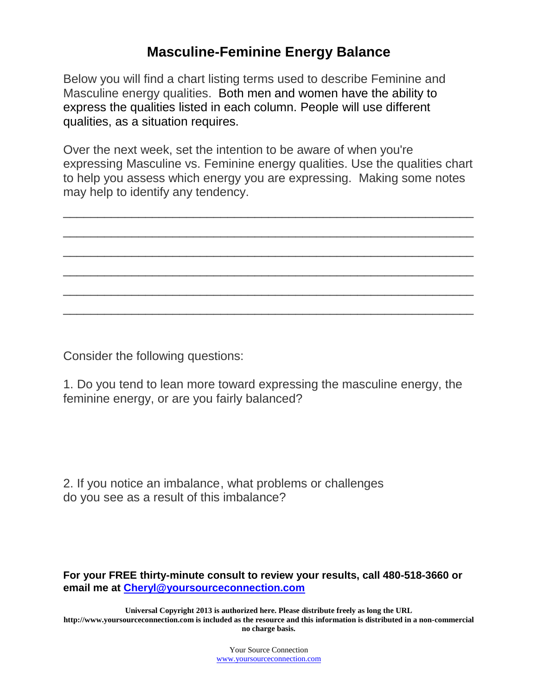## **Masculine-Feminine Energy Balance**

Below you will find a chart listing terms used to describe Feminine and Masculine energy qualities. Both men and women have the ability to express the qualities listed in each column. People will use different qualities, as a situation requires.

Over the next week, set the intention to be aware of when you're expressing Masculine vs. Feminine energy qualities. Use the qualities chart to help you assess which energy you are expressing. Making some notes may help to identify any tendency.

 $\_$  , and the set of the set of the set of the set of the set of the set of the set of the set of the set of the set of the set of the set of the set of the set of the set of the set of the set of the set of the set of th

 $\_$  , and the set of the set of the set of the set of the set of the set of the set of the set of the set of the set of the set of the set of the set of the set of the set of the set of the set of the set of the set of th

 $\_$  , and the set of the set of the set of the set of the set of the set of the set of the set of the set of the set of the set of the set of the set of the set of the set of the set of the set of the set of the set of th

\_\_\_\_\_\_\_\_\_\_\_\_\_\_\_\_\_\_\_\_\_\_\_\_\_\_\_\_\_\_\_\_\_\_\_\_\_\_\_\_\_\_\_\_\_\_\_\_\_\_\_\_\_\_\_\_\_\_\_\_

\_\_\_\_\_\_\_\_\_\_\_\_\_\_\_\_\_\_\_\_\_\_\_\_\_\_\_\_\_\_\_\_\_\_\_\_\_\_\_\_\_\_\_\_\_\_\_\_\_\_\_\_\_\_\_\_\_\_\_\_

\_\_\_\_\_\_\_\_\_\_\_\_\_\_\_\_\_\_\_\_\_\_\_\_\_\_\_\_\_\_\_\_\_\_\_\_\_\_\_\_\_\_\_\_\_\_\_\_\_\_\_\_\_\_\_\_\_\_\_\_

Consider the following questions:

1. Do you tend to lean more toward expressing the masculine energy, the feminine energy, or are you fairly balanced?

2. If you notice an imbalanc[e,](http://www.articlesfactory.com/) what problems or challenges do you see as a result of this imbalance?

**For your FREE thirty-minute consult to review your results, call 480-518-3660 or email me at [Cheryl@yoursourceconnection.com](mailto:Cheryl@yoursourceconnection.com)**

**Universal Copyright 2013 is authorized here. Please distribute freely as long the URL http://www.yoursourceconnection.com is included as the resource and this information is distributed in a non-commercial no charge basis.**